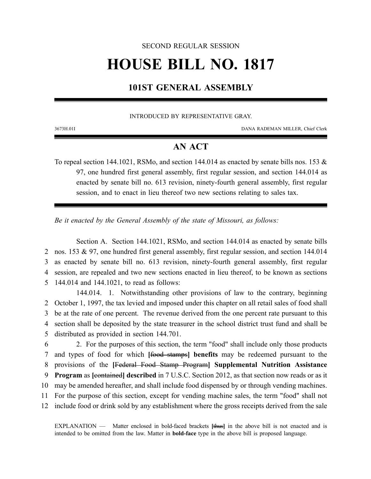### SECOND REGULAR SESSION

# **HOUSE BILL NO. 1817**

## **101ST GENERAL ASSEMBLY**

#### INTRODUCED BY REPRESENTATIVE GRAY.

3673H.01I DANA RADEMAN MILLER, Chief Clerk

## **AN ACT**

To repeal section 144.1021, RSMo, and section 144.014 as enacted by senate bills nos. 153  $\&$ 97, one hundred first general assembly, first regular session, and section 144.014 as enacted by senate bill no. 613 revision, ninety-fourth general assembly, first regular session, and to enact in lieu thereof two new sections relating to sales tax.

*Be it enacted by the General Assembly of the state of Missouri, as follows:*

Section A. Section 144.1021, RSMo, and section 144.014 as enacted by senate bills nos. 153 & 97, one hundred first general assembly, first regular session, and section 144.014 as enacted by senate bill no. 613 revision, ninety-fourth general assembly, first regular session, are repealed and two new sections enacted in lieu thereof, to be known as sections 144.014 and 144.1021, to read as follows:

144.014. 1. Notwithstanding other provisions of law to the contrary, beginning October 1, 1997, the tax levied and imposed under this chapter on all retail sales of food shall be at the rate of one percent. The revenue derived from the one percent rate pursuant to this section shall be deposited by the state treasurer in the school district trust fund and shall be distributed as provided in section 144.701.

 2. For the purposes of this section, the term "food" shall include only those products and types of food for which **[**food stamps**] benefits** may be redeemed pursuant to the provisions of the **[**Federal Food Stamp Program**] Supplemental Nutrition Assistance Program** as **[**contained**] described** in 7 U.S.C. Section 2012, as that section now reads or as it may be amended hereafter, and shall include food dispensed by or through vending machines. For the purpose of this section, except for vending machine sales, the term "food" shall not include food or drink sold by any establishment where the gross receipts derived from the sale

EXPLANATION — Matter enclosed in bold-faced brackets **[**thus**]** in the above bill is not enacted and is intended to be omitted from the law. Matter in **bold-face** type in the above bill is proposed language.